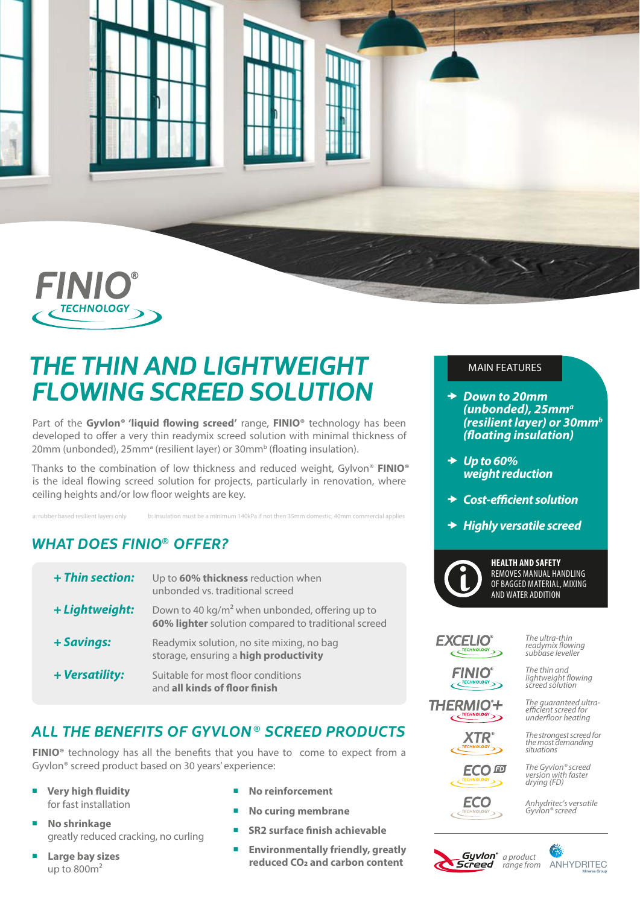



# *THE THIN AND LIGHTWEIGHT FLOWING SCREED SOLUTION*

Part of the **Gyvlon® 'liquid flowing screed'** range, **FINIO®** technology has been developed to offer a very thin readymix screed solution with minimal thickness of 20mm (unbonded), 25mm<sup>a</sup> (resilient layer) or 30mm<sup>b</sup> (floating insulation).

Thanks to the combination of low thickness and reduced weight, Gylvon® **FINIO®** is the ideal flowing screed solution for projects, particularly in renovation, where ceiling heights and/or low floor weights are key.

a: rubber based resilient layers only b: insulation must be a minimum 140kPa if not then 35mm domestic, 40mm com

## *WHAT DOES FINIO® OFFER?*

| + Thin section: | Up to 60% thickness reduction when<br>unbonded vs. traditional screed                                             |
|-----------------|-------------------------------------------------------------------------------------------------------------------|
| + Lightweight:  | Down to 40 kg/m <sup>2</sup> when unbonded, offering up to<br>60% lighter solution compared to traditional screed |
| + Savings:      | Readymix solution, no site mixing, no bag<br>storage, ensuring a high productivity                                |
| + Versatility:  | Suitable for most floor conditions<br>and all kinds of floor finish                                               |

## *ALL THE BENEFITS OF GYVLON ® SCREED PRODUCTS*

**FINIO®** technology has all the benefits that you have to come to expect from a Gyvlon® screed product based on 30 years' experience:

- ¡ **Very high fluidity** for fast installation
- ¡ **No shrinkage** greatly reduced cracking, no curling
- ¡ **Large bay sizes** up to  $800m^2$
- **No reinforcement**
- ¡ **No curing membrane**
- ¡ **SR2 surface finish achievable**
- ¡ **Environmentally friendly, greatly reduced CO2 and carbon content**

### MAIN FEATURES

- *Down to 20mm (unbonded), 25mma (resilient layer) or 30mmb (floating insulation)*
- *Up to 60% weight reduction*
- *Cost-efficient solution*
- *Highly versatile screed*



#### **HEALTH AND SAFETY** REMOVES MANUAL HANDLING OF BAGGED MATERIAL, MIXING AND WATER ADDITION

### **EXCELIO®**  $C$ <sup>TECHNOLOGY</sup>

### *The ultra-thin readymix flowing subbase leveller*

*The thin and* **FINIO** *lightweight flowing screed solution*

**THERMIO<sup>\*</sup>+** 

*The guaranteed ultraefficient screed for underfloor heating*

*The strongest screed for the most demanding* 

**XTR** 

**ECO** 四

**ECO** 

*The Gyvlon® screed version with faster drying (FD)*

*situations*

*Anhydritec's versatile Gyvlon® screed*